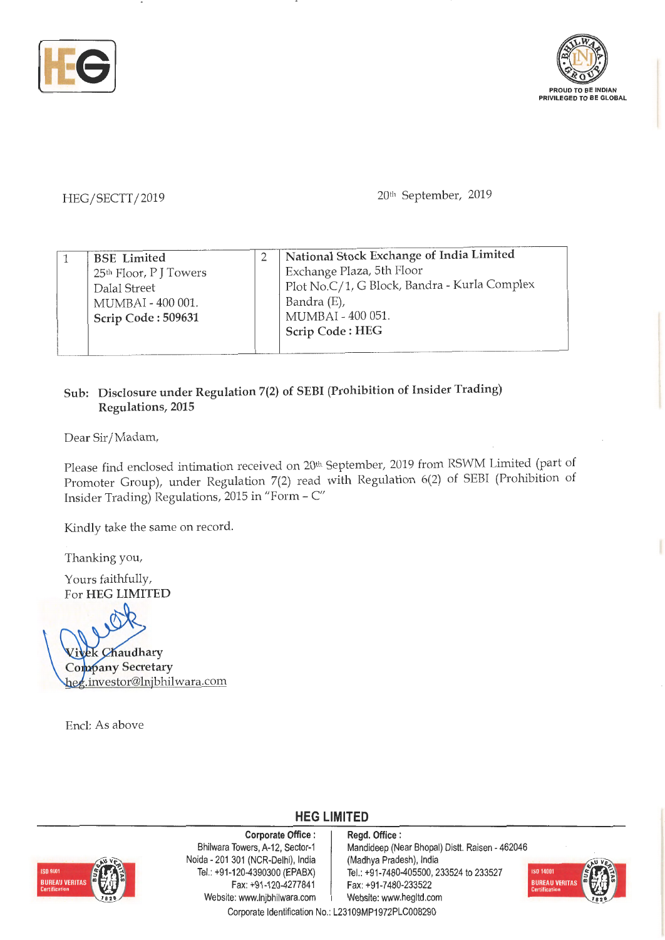



HEG/SECTT/2019 20<sup>th</sup> September, 2019

| Bandra (E),<br>MUMBAI - 400 001.<br>MUMBAI - 400 051.<br>Scrip Code: 509631<br>Scrip Code: HEG |  | <b>BSE</b> Limited<br>25 <sup>th</sup> Floor, PJ Towers<br>Dalal Street |  | National Stock Exchange of India Limited<br>Exchange Plaza, 5th Floor<br>Plot No.C/1, G Block, Bandra - Kurla Complex |
|------------------------------------------------------------------------------------------------|--|-------------------------------------------------------------------------|--|-----------------------------------------------------------------------------------------------------------------------|
|------------------------------------------------------------------------------------------------|--|-------------------------------------------------------------------------|--|-----------------------------------------------------------------------------------------------------------------------|

## **Sub: Disclosure under Regulation 7(2) of SEBI (Prohibition of Insider Trading) Regulations, 2015**

Dear Sir/ Madam,

Please find enclosed intimation received on 20<sup>th</sup> September, 2019 from RSWM Limited (part of Promoter Group), under Regulation 7(2) read with \_Regulation 6(2) of SEBI (Prohibition of Insider Trading) Regulations, 2015 in "Form - C"

Kindly take the same on record.

Thanking you,

Yours faithfully, For **HEG LIMITED** 

**ek Chaudhary Company Secretary** hee.investor@lnjjbhilwara.com

Encl: As above



**Corporate Office** : **Regd. Office** : Naida - 201 301 (NCR-Delhi), India (Madhya Pradesh), India Fax: +91-120-4277841 Fax: +91-7480-233522 Website: www.lnjbhilwara.com | Website: www.hegltd.com

Bhilwara Towers, A-12, Sector-1 | Mandideep (Near Bhopal) Distt. Raisen - 462046 Tel. : +91 -120-4390300 (EPABX) Tel.: +91 -7480-405500, 233524 to 233527



Corporate Identification No.: L23109MP1972PLC008290

**HEG LIMITED**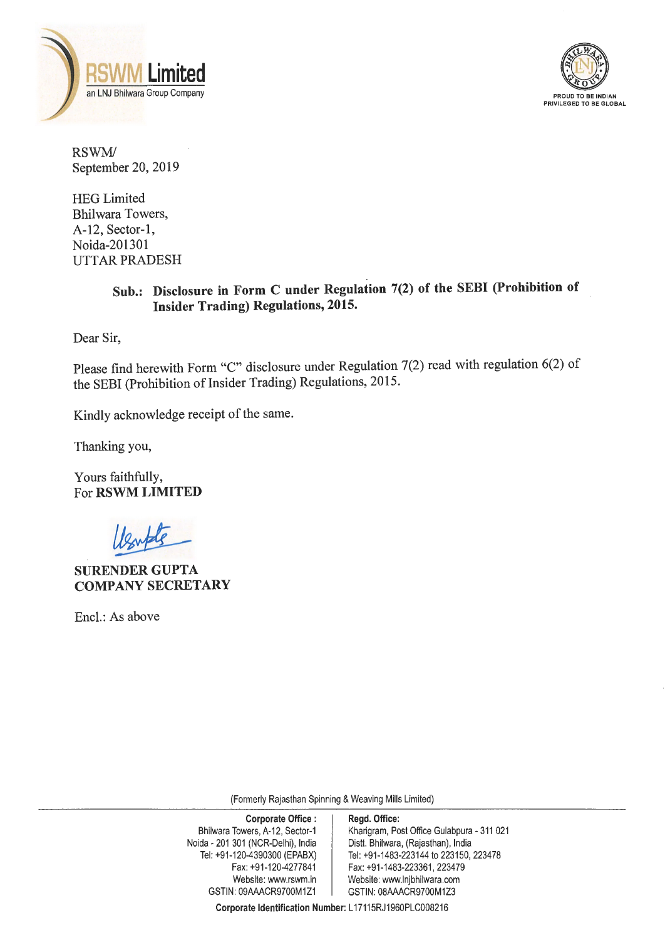



RSWM/ September 20, 2019

HEG Limited Bhilwara Towers, A-12, Sector-I, Noida-201301 UTT AR PRADESH

## **Sub.: Disclosure in Form C under Regulation 7(2) of the SEBI (Prohibition of Insider Trading) Regulations, 2015.**

Dear Sir,

Please find herewith Form "C" disclosure under Regulation 7(2) read with regulation 6(2) of the SEBI (Prohibition of Insider Trading) Regulations, 2015.

Kindly acknowledge receipt of the same.

Thanking you,

Yours faithfully, For **RSWM LIMITED** 

**SURENDER GUPTA COMPANY SECRETARY** 

Encl.: As above

(Formerly Rajasthan Spinning & Weaving Mills Limited)

**Corporate Identification Number:** L 17115RJ1960PLC008216

| <b>Corporate Office:</b>           | Regd. Office:                              |
|------------------------------------|--------------------------------------------|
| Bhilwara Towers, A-12, Sector-1    | Kharigram, Post Office Gulabpura - 311 021 |
| Noida - 201 301 (NCR-Delhi), India | Distt. Bhilwara, (Rajasthan), India        |
| Tel: +91-120-4390300 (EPABX)       | Tel: +91-1483-223144 to 223150, 223478     |
| Fax: +91-120-4277841               | Fax: +91-1483-223361, 223479               |
| Website: www.rswm.in               | Website: www.lnjbhilwara.com               |
| GSTIN: 09AAACR9700M1Z1             | GSTIN: 08AAACR9700M1Z3                     |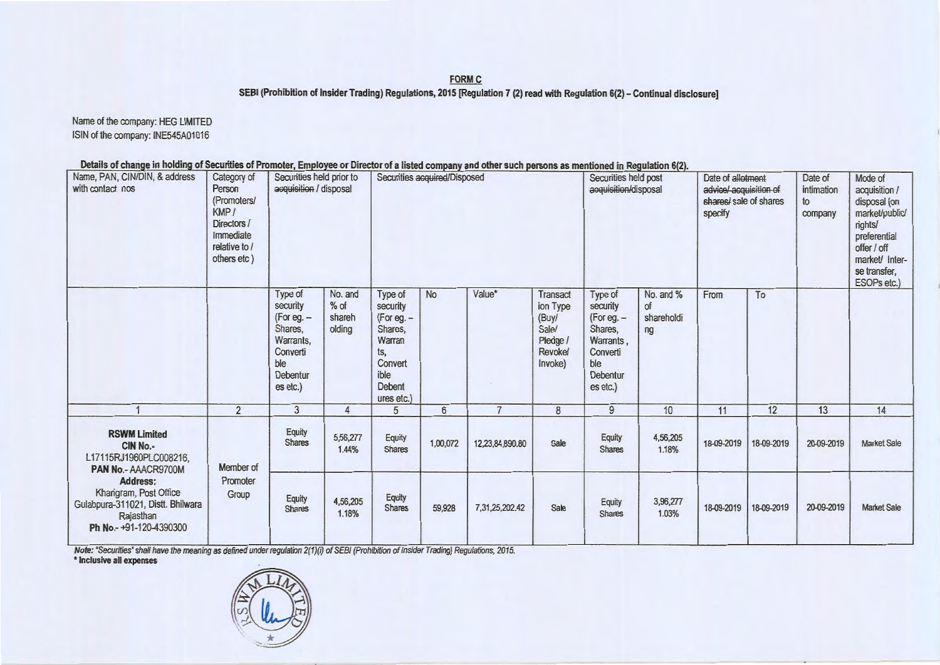**FORM C** 

SEBI (Prohibition of Insider Trading) Regulations, 2015 [Regulation 7 (2) read with Regulation 6(2) - Continual disclosure]

Name of the company: HEG LIMITED ISIN of the company: INE545A01016

Details of change in holding of Securities of Promoter, Employee or Director of a listed company and other such persons as mentioned in Regulation 6(2).

| Name, PAN, CIN/DIN, & address<br>with contact nos                                                                    | Category of<br>Person<br>(Promoters/<br>KMP/<br>Directors /<br>Immediate<br>relative to /<br>others etc) | Securities held prior to<br>acquisition / disposal                                                     |                                       | Securities acquired/Disposed                                                                               |                 |                 | Securities held post<br>acquisition/disposal                             |                                                                                                        | Date of allotment<br>advice/acquisition of<br>shares/ sale of shares<br>specify |            | Date of<br>intimation<br>to<br>company | Mode of<br>acquisition /<br>disposal (on<br>market/public/<br>rights/<br>preferential<br>offer / off<br>market/ Inter-<br>se transfer,<br>ESOPs etc.) |                    |
|----------------------------------------------------------------------------------------------------------------------|----------------------------------------------------------------------------------------------------------|--------------------------------------------------------------------------------------------------------|---------------------------------------|------------------------------------------------------------------------------------------------------------|-----------------|-----------------|--------------------------------------------------------------------------|--------------------------------------------------------------------------------------------------------|---------------------------------------------------------------------------------|------------|----------------------------------------|-------------------------------------------------------------------------------------------------------------------------------------------------------|--------------------|
|                                                                                                                      |                                                                                                          | Type of<br>security<br>(For eg. $-$<br>Shares,<br>Warrants,<br>Converti<br>ble<br>Debentur<br>es etc.) | No. and<br>$%$ of<br>shareh<br>olding | Type of<br>security<br>$(For eq. -$<br>Shares,<br>Warran<br>ts.<br>Convert<br>ible<br>Debent<br>ures etc.) | <b>No</b>       | Value*          | Transact<br>ion Type<br>(Buy/<br>Sale/<br>Pledge /<br>Revoke/<br>Invoke) | Type of<br>security<br>$(For eq. -$<br>Shares,<br>Warrants.<br>Converti<br>ble<br>Debentur<br>es etc.) | No. and %<br>of<br>shareholdi<br>ng                                             | From       | To                                     |                                                                                                                                                       |                    |
|                                                                                                                      | $\overline{2}$                                                                                           | 3                                                                                                      | 4                                     | 5                                                                                                          | $6\phantom{.}6$ | $\overline{7}$  | 8                                                                        | 9                                                                                                      | 10                                                                              | 11         | 12                                     | 13                                                                                                                                                    | 14                 |
| <b>RSWM Limited</b><br>CIN No.-<br>L17115RJ1960PLC008216,<br>PAN No.- AAACR9700M                                     | Member of<br>Promoter<br>Group                                                                           | Equity<br><b>Shares</b>                                                                                | 5,56,277<br>1.44%                     | Equity<br>Shares                                                                                           | 1,00,072        | 12,23,84,890.80 | Sale                                                                     | Equity<br><b>Shares</b>                                                                                | 4,56,205<br>1.18%                                                               | 18-09-2019 | 18-09-2019                             | 20-09-2019                                                                                                                                            | <b>Market Sale</b> |
| <b>Address:</b><br>Khangram, Post Office<br>Gulabpura-311021, Distt. Bhilwara<br>Rajasthan<br>Ph No.-+91-120-4390300 |                                                                                                          | Equity<br><b>Shares</b>                                                                                | 4,56,205<br>1.18%                     | Equity<br><b>Shares</b>                                                                                    | 59,928          | 7,31,25,202.42  | Sale                                                                     | Equity<br><b>Shares</b>                                                                                | 3,96,277<br>1.03%                                                               | 18-09-2019 | 18-09-2019                             | 20-09-2019                                                                                                                                            | <b>Market Sale</b> |

Note: "Securities" shall have the meaning as defined under regulation 2(1)(i) of SEBI (Prohibition of Insider Trading) Regulations, 2015.

\* Inclusive all expenses